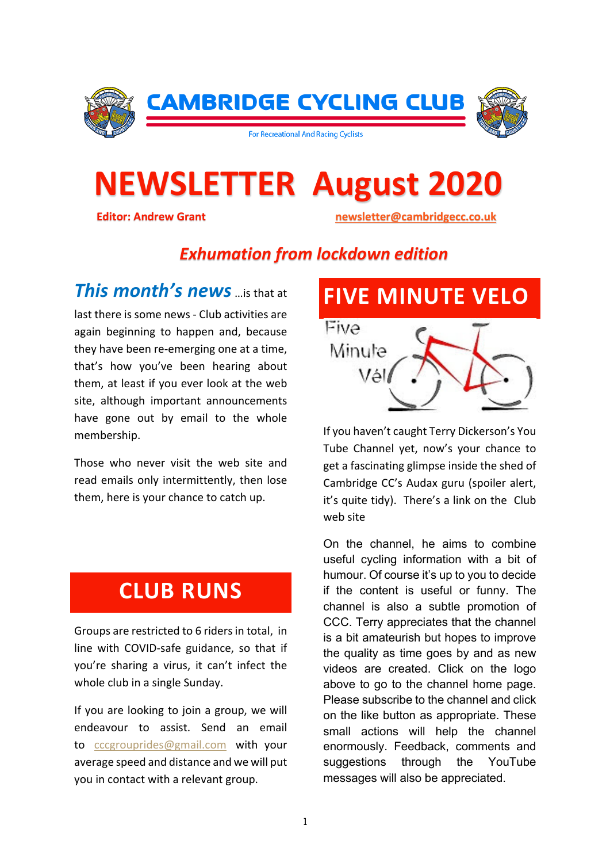

# **NEWSLETTER August 2020 Editor: Andrew Grant newsletter@cambridgecc.co.uk**

#### *Exhumation from lockdown edition*

*This month's news* is that at last there is some news - Club activities are again beginning to happen and, because they have been re-emerging one at a time, that's how you've been hearing about them, at least if you ever look at the web site, although important announcements have gone out by email to the whole membership.

Those who never visit the web site and read emails only intermittently, then lose them, here is your chance to catch up.

#### **CLUB RUNS**

Groups are restricted to 6 riders in total, in line with COVID-safe guidance, so that if you're sharing a virus, it can't infect the whole club in a single Sunday.

If you are looking to join a group, we will endeavour to assist. Send an email to cccgrouprides@gmail.com with your average speed and distance and we will put you in contact with a relevant group.

# **FIVE MINUTE VELO** Eive Minute Vál

If you haven't caught Terry Dickerson's You Tube Channel yet, now's your chance to get a fascinating glimpse inside the shed of Cambridge CC's Audax guru (spoiler alert, it's quite tidy). There's a link on the Club web site

On the channel, he aims to combine useful cycling information with a bit of humour. Of course it's up to you to decide if the content is useful or funny. The channel is also a subtle promotion of CCC. Terry appreciates that the channel is a bit amateurish but hopes to improve the quality as time goes by and as new videos are created. Click on the logo above to go to the channel home page. Please subscribe to the channel and click on the like button as appropriate. These small actions will help the channel enormously. Feedback, comments and suggestions through the YouTube messages will also be appreciated.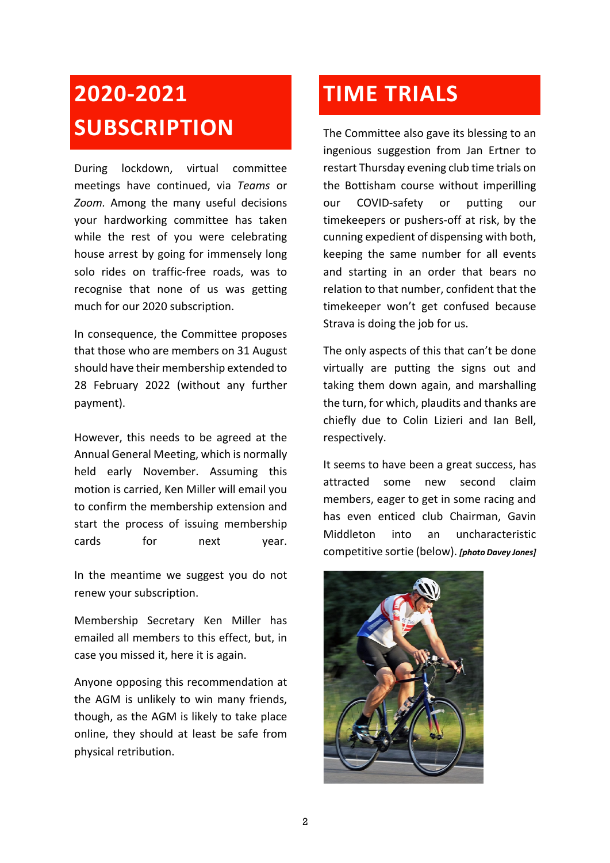## **2020-2021 SUBSCRIPTION**

During lockdown, virtual committee meetings have continued, via *Teams* or *Zoom.* Among the many useful decisions your hardworking committee has taken while the rest of you were celebrating house arrest by going for immensely long solo rides on traffic-free roads, was to recognise that none of us was getting much for our 2020 subscription.

In consequence, the Committee proposes that those who are members on 31 August should have their membership extended to 28 February 2022 (without any further payment).

However, this needs to be agreed at the Annual General Meeting, which is normally held early November. Assuming this motion is carried, Ken Miller will email you to confirm the membership extension and start the process of issuing membership cards for next year.

In the meantime we suggest you do not renew your subscription.

Membership Secretary Ken Miller has emailed all members to this effect, but, in case you missed it, here it is again.

Anyone opposing this recommendation at the AGM is unlikely to win many friends, though, as the AGM is likely to take place online, they should at least be safe from physical retribution.

### **TIME TRIALS**

The Committee also gave its blessing to an ingenious suggestion from Jan Ertner to restart Thursday evening club time trials on the Bottisham course without imperilling our COVID-safety or putting our timekeepers or pushers-off at risk, by the cunning expedient of dispensing with both, keeping the same number for all events and starting in an order that bears no relation to that number, confident that the timekeeper won't get confused because Strava is doing the job for us.

The only aspects of this that can't be done virtually are putting the signs out and taking them down again, and marshalling the turn, for which, plaudits and thanks are chiefly due to Colin Lizieri and Ian Bell, respectively.

It seems to have been a great success, has attracted some new second claim members, eager to get in some racing and has even enticed club Chairman, Gavin Middleton into an uncharacteristic competitive sortie (below). *[photo Davey Jones]*

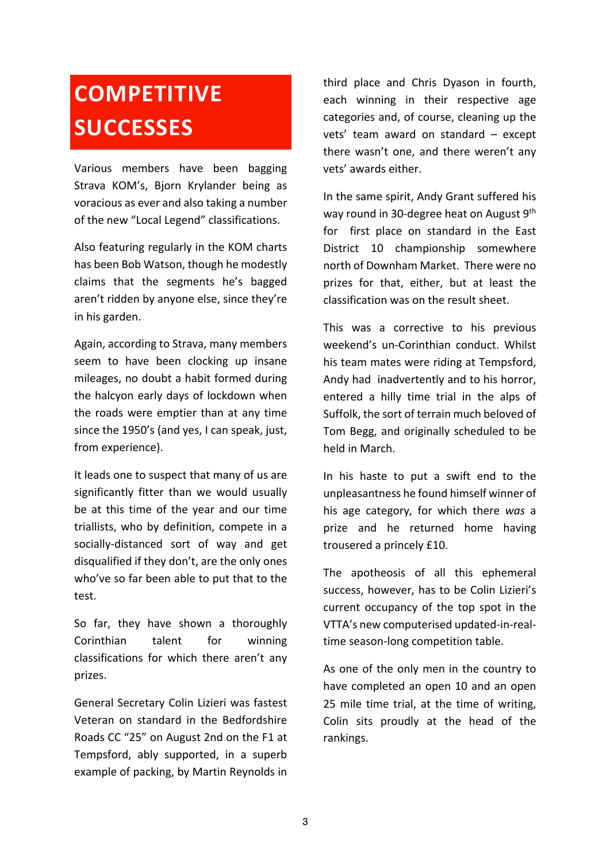## **COMPETITIVE SUCCESSES**

Various members have been bagging Strava KOM's, Biorn Krylander being as voracious as ever and also taking a number of the new "Local Legend" classifications.

Also featuring regularly in the KOM charts has been Bob Watson, though he modestly claims that the segments he's bagged aren't ridden by anyone else, since they're in his garden.

Again, according to Strava, many members seem to have been clocking up insane mileages, no doubt a habit formed during the halcyon early days of lockdown when the roads were emptier than at any time since the 1950's (and yes, I can speak, just, from experience).

It leads one to suspect that many of us are significantly fitter than we would usually be at this time of the year and our time triallists, who by definition, compete in a socially-distanced sort of way and get disqualified if they don't, are the only ones who've so far been able to put that to the test.

So far, they have shown a thoroughly Corinthian talent for winning classifications for which there aren't any prizes.

General Secretary Colin Lizieri was fastest Veteran on standard in the Bedfordshire Roads CC "25" on August 2nd on the F1 at Tempsford, ably supported, in a superb example of packing, by Martin Reynolds in

third place and Chris Dyason in fourth, each winning in their respective age categories and, of course, cleaning up the vets' team award on standard – except there wasn't one, and there weren't any vets' awards either.

In the same spirit, Andy Grant suffered his way round in 30-degree heat on August 9th for first place on standard in the East District 10 championship somewhere north of Downham Market. There were no prizes for that, either, but at least the classification was on the result sheet.

This was a corrective to his previous weekend's un-Corinthian conduct. Whilst his team mates were riding at Tempsford, Andy had inadvertently and to his horror, entered a hilly time trial in the alps of Suffolk, the sort of terrain much beloved of Tom Begg, and originally scheduled to be held in March.

In his haste to put a swift end to the unpleasantness he found himself winner of his age category, for which there *was* a prize and he returned home having trousered a princely £10.

The apotheosis of all this ephemeral success, however, has to be Colin Lizieri's current occupancy of the top spot in the VTTA's new computerised updated-in-realtime season-long competition table.

As one of the only men in the country to have completed an open 10 and an open 25 mile time trial, at the time of writing, Colin sits proudly at the head of the rankings.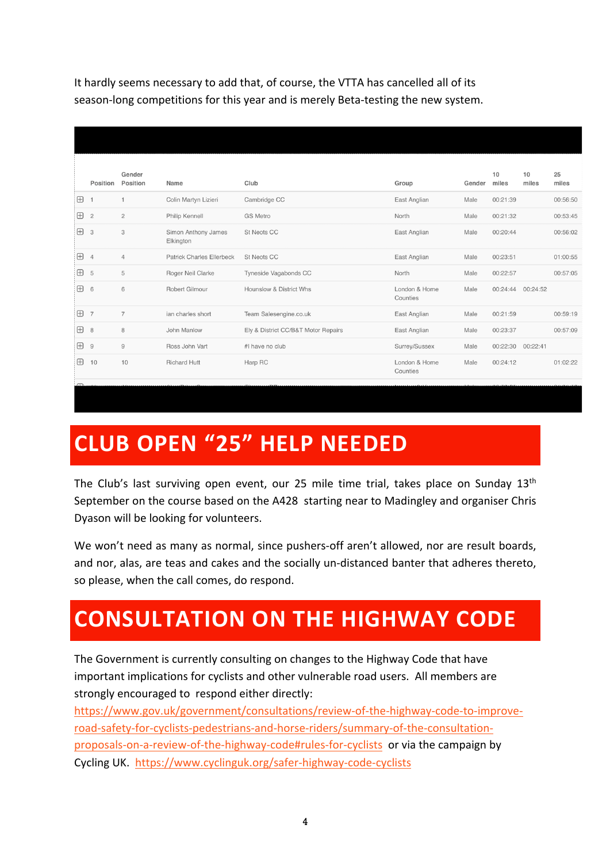It hardly seems necessary to add that, of course, the VTTA has cancelled all of its season-long competitions for this year and is merely Beta-testing the new system.

|            | Position       | Gender<br>Position | Name                             | Club                                | Group                     | Gender | 10<br>miles | 10<br>miles | 25<br>miles |
|------------|----------------|--------------------|----------------------------------|-------------------------------------|---------------------------|--------|-------------|-------------|-------------|
| Ð          |                |                    | Colin Martyn Lizieri             | Cambridge CC                        | East Anglian              | Male   | 00:21:39    |             | 00:56:50    |
| $\boxplus$ | $\overline{c}$ | $\overline{c}$     | Philip Kennell                   | <b>GS Metro</b>                     | North                     | Male   | 00:21:32    |             | 00:53:45    |
| $\boxplus$ | 3              | 3                  | Simon Anthony James<br>Elkington | <b>St Neots CC</b>                  | East Anglian              | Male   | 00:20:44    |             | 00:56:02    |
| $\boxplus$ | $\overline{4}$ | $\overline{4}$     | <b>Patrick Charles Ellerbeck</b> | St Neots CC                         | East Anglian              | Male   | 00:23:51    |             | 01:00:55    |
| $\boxplus$ | 5              | 5                  | Roger Neil Clarke                | Tyneside Vagabonds CC               | North                     | Male   | 00:22:57    |             | 00:57:05    |
| 田          | 6              | 6                  | Robert Gilmour                   | Hounslow & District Whs             | London & Home<br>Counties | Male   | 00:24:44    | 00:24:52    |             |
| $\boxplus$ | $\overline{7}$ | $\overline{7}$     | ian charles short                | Team Salesengine.co.uk              | East Anglian              | Male   | 00:21:59    |             | 00:59:19    |
| $\Box$     | 8              | 8                  | John Manlow                      | Ely & District CC/B&T Motor Repairs | East Anglian              | Male   | 00:23:37    |             | 00:57:09    |
| $\boxplus$ | 9              | $\overline{9}$     | Ross John Vart                   | #I have no club                     | Surrey/Sussex             | Male   | 00:22:30    | 00:22:41    |             |
| $\boxplus$ | 10             | 10                 | <b>Richard Hutt</b>              | Harp RC                             | London & Home<br>Counties | Male   | 00:24:12    |             | 01:02:22    |
|            |                |                    |                                  |                                     |                           |        |             |             |             |

## **CLUB OPEN "25" HELP NEEDED**

The Club's last surviving open event, our 25 mile time trial, takes place on Sunday 13<sup>th</sup> September on the course based on the A428 starting near to Madingley and organiser Chris Dyason will be looking for volunteers.

We won't need as many as normal, since pushers-off aren't allowed, nor are result boards, and nor, alas, are teas and cakes and the socially un-distanced banter that adheres thereto, so please, when the call comes, do respond.

## **CONSULTATION ON THE HIGHWAY CODE**

The Government is currently consulting on changes to the Highway Code that have important implications for cyclists and other vulnerable road users. All members are strongly encouraged to respond either directly:

https://www.gov.uk/government/consultations/review-of-the-highway-code-to-improveroad-safety-for-cyclists-pedestrians-and-horse-riders/summary-of-the-consultationproposals-on-a-review-of-the-highway-code#rules-for-cyclists or via the campaign by Cycling UK. https://www.cyclinguk.org/safer-highway-code-cyclists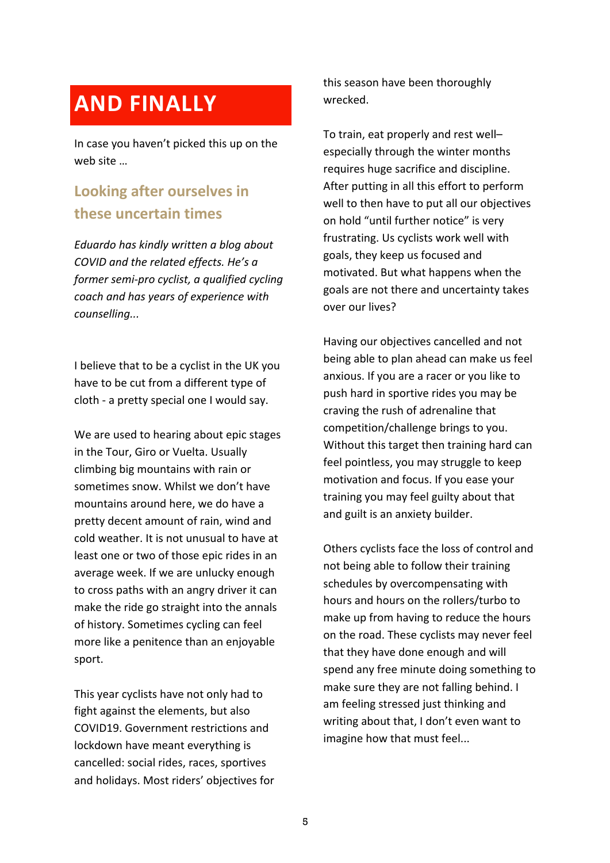### **AND FINALLY**

In case you haven't picked this up on the web site …

#### **Looking after ourselves in these uncertain times**

*Eduardo has kindly written a blog about COVID and the related effects. He's a former semi-pro cyclist, a qualified cycling coach and has years of experience with counselling...*

I believe that to be a cyclist in the UK you have to be cut from a different type of cloth - a pretty special one I would say.

We are used to hearing about epic stages in the Tour, Giro or Vuelta. Usually climbing big mountains with rain or sometimes snow. Whilst we don't have mountains around here, we do have a pretty decent amount of rain, wind and cold weather. It is not unusual to have at least one or two of those epic rides in an average week. If we are unlucky enough to cross paths with an angry driver it can make the ride go straight into the annals of history. Sometimes cycling can feel more like a penitence than an enjoyable sport.

This year cyclists have not only had to fight against the elements, but also COVID19. Government restrictions and lockdown have meant everything is cancelled: social rides, races, sportives and holidays. Most riders' objectives for this season have been thoroughly wrecked.

To train, eat properly and rest well– especially through the winter months requires huge sacrifice and discipline. After putting in all this effort to perform well to then have to put all our objectives on hold "until further notice" is very frustrating. Us cyclists work well with goals, they keep us focused and motivated. But what happens when the goals are not there and uncertainty takes over our lives?

Having our objectives cancelled and not being able to plan ahead can make us feel anxious. If you are a racer or you like to push hard in sportive rides you may be craving the rush of adrenaline that competition/challenge brings to you. Without this target then training hard can feel pointless, you may struggle to keep motivation and focus. If you ease your training you may feel guilty about that and guilt is an anxiety builder.

Others cyclists face the loss of control and not being able to follow their training schedules by overcompensating with hours and hours on the rollers/turbo to make up from having to reduce the hours on the road. These cyclists may never feel that they have done enough and will spend any free minute doing something to make sure they are not falling behind. I am feeling stressed just thinking and writing about that, I don't even want to imagine how that must feel...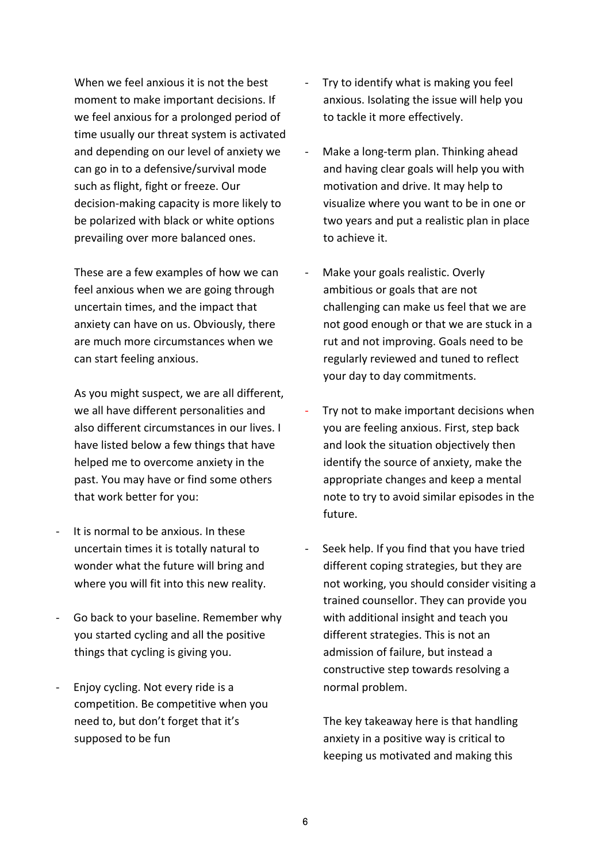When we feel anxious it is not the best moment to make important decisions. If we feel anxious for a prolonged period of time usually our threat system is activated and depending on our level of anxiety we can go in to a defensive/survival mode such as flight, fight or freeze. Our decision-making capacity is more likely to be polarized with black or white options prevailing over more balanced ones.

These are a few examples of how we can feel anxious when we are going through uncertain times, and the impact that anxiety can have on us. Obviously, there are much more circumstances when we can start feeling anxious.

As you might suspect, we are all different, we all have different personalities and also different circumstances in our lives. I have listed below a few things that have helped me to overcome anxiety in the past. You may have or find some others that work better for you:

- It is normal to be anxious. In these uncertain times it is totally natural to wonder what the future will bring and where you will fit into this new reality.
- Go back to your baseline. Remember why you started cycling and all the positive things that cycling is giving you.
- Enjoy cycling. Not every ride is a competition. Be competitive when you need to, but don't forget that it's supposed to be fun
- Try to identify what is making you feel anxious. Isolating the issue will help you to tackle it more effectively.
- Make a long-term plan. Thinking ahead and having clear goals will help you with motivation and drive. It may help to visualize where you want to be in one or two years and put a realistic plan in place to achieve it.
- Make your goals realistic. Overly ambitious or goals that are not challenging can make us feel that we are not good enough or that we are stuck in a rut and not improving. Goals need to be regularly reviewed and tuned to reflect your day to day commitments.
- Try not to make important decisions when you are feeling anxious. First, step back and look the situation objectively then identify the source of anxiety, make the appropriate changes and keep a mental note to try to avoid similar episodes in the future.
- Seek help. If you find that you have tried different coping strategies, but they are not working, you should consider visiting a trained counsellor. They can provide you with additional insight and teach you different strategies. This is not an admission of failure, but instead a constructive step towards resolving a normal problem.

The key takeaway here is that handling anxiety in a positive way is critical to keeping us motivated and making this